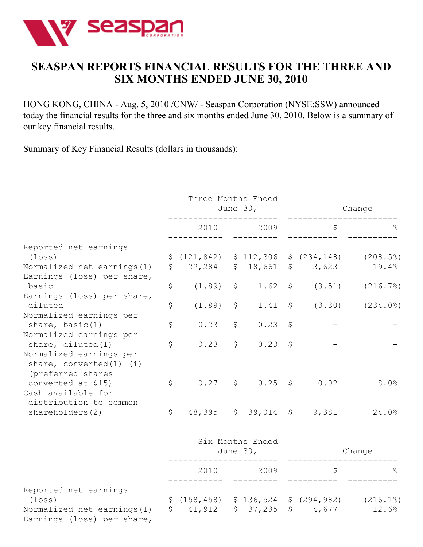

# **SEASPAN REPORTS FINANCIAL RESULTS FOR THE THREE AND SIX MONTHS ENDED JUNE 30, 2010**

HONG KONG, CHINA - Aug. 5, 2010 /CNW/ - Seaspan Corporation (NYSE:SSW) announced today the financial results for the three and six months ended June 30, 2010. Below is a summary of our key financial results.

Summary of Key Financial Results (dollars in thousands):

|                                                                                                         | Three Months Ended<br>June $30l$ |    |                                | Change      |                                                                                    |                      |
|---------------------------------------------------------------------------------------------------------|----------------------------------|----|--------------------------------|-------------|------------------------------------------------------------------------------------|----------------------|
|                                                                                                         | 2010                             |    | 2009<br>-------                |             | \$                                                                                 |                      |
| Reported net earnings<br>$(\texttt{loss})$<br>Normalized net earnings (1)<br>Earnings (loss) per share, | \$<br>\$(121, 842) \$112, 306    |    |                                |             | $$ (234, 148)$ $(208.5%)$<br>22,284 \$ 18,661 \$ 3,623                             | 19.4%                |
| basic<br>Earnings (loss) per share,                                                                     | \$<br>(1.89)                     | \$ | 1.62                           |             | $\uparrow$                                                                         | $(3.51)$ $(216.7\%)$ |
| diluted<br>Normalized earnings per                                                                      | \$<br>(1.89)                     | \$ | 1.41                           |             | $\zeta$                                                                            | $(3.30)$ $(234.0\%)$ |
| share, $basic(1)$<br>Normalized earnings per                                                            | \$<br>0.23                       | \$ | 0.23                           | $\varsigma$ |                                                                                    |                      |
| share, $diluted(1)$<br>Normalized earnings per<br>share, converted $(1)$ $(i)$<br>(preferred shares     | \$<br>0.23                       | \$ | 0.23                           | \$          |                                                                                    |                      |
| converted at \$15)<br>Cash available for<br>distribution to common                                      | \$                               |    | $0.27$ \$ $0.25$ \$            |             | 0.02                                                                               | 8.0%                 |
| shareholders(2)                                                                                         | \$                               |    |                                |             | 48,395 \$ 39,014 \$ 9,381                                                          | 24.0%                |
|                                                                                                         |                                  |    | Six Months Ended<br>June $30l$ |             |                                                                                    | Change               |
|                                                                                                         | 2010                             |    | 2009                           |             | \$                                                                                 |                      |
| Reported net earnings<br>$(\texttt{loss})$<br>Normalized net earnings (1)<br>Earnings (loss) per share, |                                  |    |                                |             | $$(158, 458)$ $$136, 524$ $$(294, 982)$ $(216.1%)$<br>$$41,912$ $$37,235$ $$4,677$ | 12.6%                |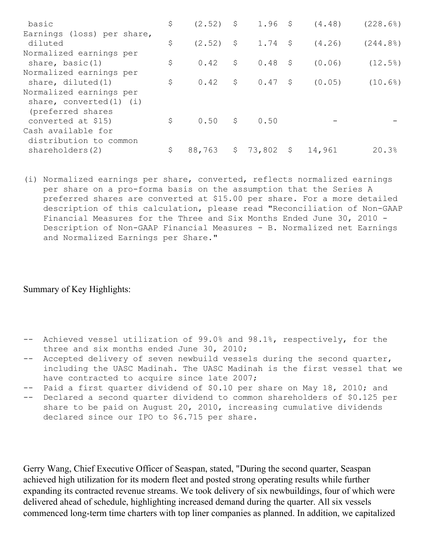| basic                        | \$  |             |                 |    | $(2.52)$ \$ 1.96 \$ $(4.48)$ | (228.6) |
|------------------------------|-----|-------------|-----------------|----|------------------------------|---------|
| Earnings (loss) per share,   |     |             |                 |    |                              |         |
| diluted                      | \$  | $(2.52)$ \$ | 1.74S           |    | (4, 26)                      | (244.8) |
| Normalized earnings per      |     |             |                 |    |                              |         |
| share, basic $(1)$           | \$. | 0.42        | \$<br>$0.48$ \$ |    | (0.06)                       | (12.5)  |
| Normalized earnings per      |     |             |                 |    |                              |         |
| share, diluted $(1)$         | \$  | 0.42        | $$0.47$ \$      |    | (0.05)                       | (10.6%) |
| Normalized earnings per      |     |             |                 |    |                              |         |
| share, converted $(1)$ $(i)$ |     |             |                 |    |                              |         |
| (preferred shares            |     |             |                 |    |                              |         |
| converted at \$15)           | Ŝ   |             |                 |    |                              |         |
| Cash available for           |     |             |                 |    |                              |         |
| distribution to common       |     |             |                 |    |                              |         |
| shareholders(2)              | S   | 88,763      | \$<br>73,802    | -Ş | 14,961                       | 20.3%   |

(i) Normalized earnings per share, converted, reflects normalized earnings per share on a pro-forma basis on the assumption that the Series A preferred shares are converted at \$15.00 per share. For a more detailed description of this calculation, please read "Reconciliation of Non-GAAP Financial Measures for the Three and Six Months Ended June 30, 2010 - Description of Non-GAAP Financial Measures - B. Normalized net Earnings and Normalized Earnings per Share."

### Summary of Key Highlights:

- -- Achieved vessel utilization of 99.0% and 98.1%, respectively, for the three and six months ended June 30, 2010;
- -- Accepted delivery of seven newbuild vessels during the second quarter, including the UASC Madinah. The UASC Madinah is the first vessel that we have contracted to acquire since late 2007;
- Paid a first quarter dividend of \$0.10 per share on May 18, 2010; and
- -- Declared a second quarter dividend to common shareholders of \$0.125 per share to be paid on August 20, 2010, increasing cumulative dividends declared since our IPO to \$6.715 per share.

Gerry Wang, Chief Executive Officer of Seaspan, stated, "During the second quarter, Seaspan achieved high utilization for its modern fleet and posted strong operating results while further expanding its contracted revenue streams. We took delivery of six newbuildings, four of which were delivered ahead of schedule, highlighting increased demand during the quarter. All six vessels commenced long-term time charters with top liner companies as planned. In addition, we capitalized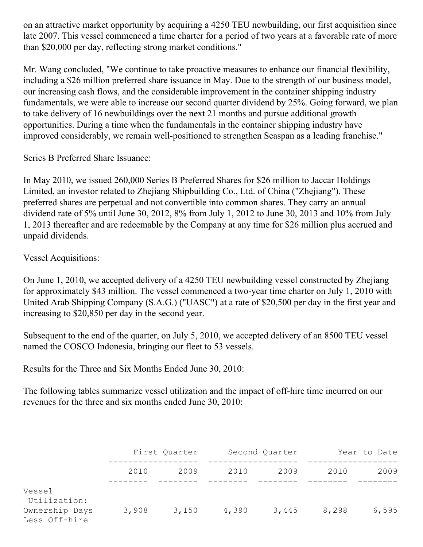on an attractive market opportunity by acquiring a 4250 TEU newbuilding, our first acquisition since late 2007. This vessel commenced a time charter for a period of two years at a favorable rate of more than \$20,000 per day, reflecting strong market conditions."

Mr. Wang concluded, "We continue to take proactive measures to enhance our financial flexibility, including a \$26 million preferred share issuance in May. Due to the strength of our business model, our increasing cash flows, and the considerable improvement in the container shipping industry fundamentals, we were able to increase our second quarter dividend by 25%. Going forward, we plan to take delivery of 16 newbuildings over the next 21 months and pursue additional growth opportunities. During a time when the fundamentals in the container shipping industry have improved considerably, we remain well-positioned to strengthen Seaspan as a leading franchise."

Series B Preferred Share Issuance:

In May 2010, we issued 260,000 Series B Preferred Shares for \$26 million to Jaccar Holdings Limited, an investor related to Zhejiang Shipbuilding Co., Ltd. of China ("Zhejiang"). These preferred shares are perpetual and not convertible into common shares. They carry an annual dividend rate of 5% until June 30, 2012, 8% from July 1, 2012 to June 30, 2013 and 10% from July 1, 2013 thereafter and are redeemable by the Company at any time for \$26 million plus accrued and unpaid dividends.

Vessel Acquisitions:

On June 1, 2010, we accepted delivery of a 4250 TEU newbuilding vessel constructed by Zhejiang for approximately \$43 million. The vessel commenced a two-year time charter on July 1, 2010 with United Arab Shipping Company (S.A.G.) ("UASC") at a rate of \$20,500 per day in the first year and increasing to \$20,850 per day in the second year.

Subsequent to the end of the quarter, on July 5, 2010, we accepted delivery of an 8500 TEU vessel named the COSCO Indonesia, bringing our fleet to 53 vessels.

Results for the Three and Six Months Ended June 30, 2010:

The following tables summarize vessel utilization and the impact of off-hire time incurred on our revenues for the three and six months ended June 30, 2010:

|                                                           |       | First Quarter | Second Quarter |       | Year to Date |       |
|-----------------------------------------------------------|-------|---------------|----------------|-------|--------------|-------|
|                                                           | 2010  | 2009          | 2010           | 2009  | 2010         | 2009  |
| Vessel<br>Utilization:<br>Ownership Days<br>Less Off-hire | 3,908 | 3,150         | 4,390          | 3,445 | 8,298        | 6,595 |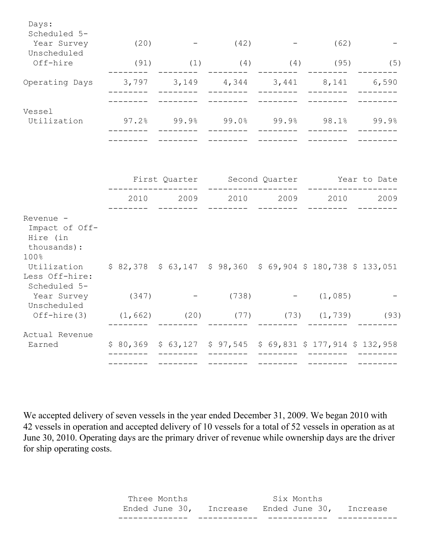| Days:<br>Scheduled 5-<br>Year Survey                                                  | (20)                      |                    | $-$ (42)          |                                                                                 | $-$ (62)          |           |
|---------------------------------------------------------------------------------------|---------------------------|--------------------|-------------------|---------------------------------------------------------------------------------|-------------------|-----------|
| Unscheduled<br>Off-hire                                                               | (91)                      | (1)                |                   | $(4)$ $(4)$ $(95)$                                                              |                   | (5)       |
| Operating Days                                                                        | 3,797<br>--------         | 3, 149<br>________ | ________          | 4,344 3,441 8,141 6,590<br>————————                                             | $- - - - - - - -$ |           |
| Vessel<br>Utilization                                                                 |                           | $97.2%$ 99.9%      |                   | $99.0\%$ 99.9% 98.1% 99.9%                                                      |                   |           |
|                                                                                       |                           |                    | ---------         | First Quarter Second Quarter Tear to Date                                       |                   |           |
|                                                                                       |                           | 2010 2009          |                   | 2010 2009                                                                       |                   | 2010 2009 |
| Revenue -<br>Impact of Off-<br>Hire (in<br>thousands):<br>100%                        |                           |                    |                   |                                                                                 |                   |           |
| Utilization \$82,378 \$63,147 \$98,360 \$69,904 \$180,738 \$133,051<br>Less Off-hire: |                           |                    |                   |                                                                                 |                   |           |
| Scheduled 5-<br>Year Survey<br>Unscheduled                                            | (347)                     |                    | $-$ (738)         | $\mathcal{L}(\mathcal{L}(\mathcal{L})) = \mathcal{L}(\mathcal{L}(\mathcal{L}))$ | (1, 085)          |           |
| $Off$ -hire $(3)$                                                                     |                           |                    |                   | $(1, 662)$ $(20)$ $(77)$ $(73)$ $(1, 739)$                                      |                   | (93)      |
| Actual Revenue<br>Earned                                                              | <u> 1999 - Andrea Ste</u> | ________           | $- - - - - - - -$ | \$80,369 \$63,127 \$97,545 \$69,831 \$177,914 \$132,958                         | $- - - - - - - -$ |           |
|                                                                                       |                           |                    |                   |                                                                                 |                   |           |

We accepted delivery of seven vessels in the year ended December 31, 2009. We began 2010 with 42 vessels in operation and accepted delivery of 10 vessels for a total of 52 vessels in operation as at June 30, 2010. Operating days are the primary driver of revenue while ownership days are the driver for ship operating costs.

| Three Months                                    | Six Months |  |
|-------------------------------------------------|------------|--|
| Ended June 30, Increase Ended June 30, Increase |            |  |
|                                                 |            |  |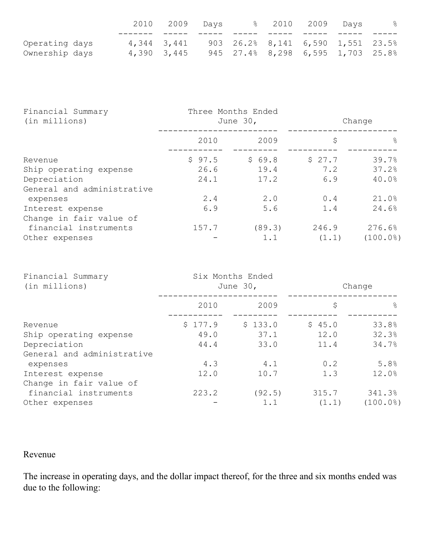|                |  | 2010 2009 Days |  | % 2010 2009 Days                  |  | $\frac{8}{6}$ |
|----------------|--|----------------|--|-----------------------------------|--|---------------|
|                |  |                |  |                                   |  |               |
| Operating days |  | 4,344 3,441    |  | 903 26.2% 8,141 6,590 1,551 23.5% |  |               |
| Ownership days |  | 4,390 3,445    |  | 945 27.4% 8,298 6,595 1,703 25.8% |  |               |

| Financial Summary<br>(in millions) |        | Three Months Ended<br>June 30, | Change |               |
|------------------------------------|--------|--------------------------------|--------|---------------|
|                                    | 2010   | 2009                           | \$     | $\frac{6}{5}$ |
| Revenue                            | \$97.5 | \$69.8                         | \$27.7 | 39.7%         |
| Ship operating expense             | 26.6   | 19.4                           | 7.2    | 37.2%         |
| Depreciation                       | 24.1   | 17.2                           | 6.9    | 40.0%         |
| General and administrative         |        |                                |        |               |
| expenses                           | 2.4    | 2.0                            | 0.4    | 21.0%         |
| Interest expense                   | 6.9    | 5.6                            | 1.4    | 24.6%         |
| Change in fair value of            |        |                                |        |               |
| financial instruments              | 157.7  | (89.3)                         | 246.9  | 276.6%        |
| Other expenses                     |        | 1.1                            | (1.1)  | (100.0%       |

| Financial Summary<br>(in millions) |         | Six Months Ended<br>June 30, | Change |               |  |
|------------------------------------|---------|------------------------------|--------|---------------|--|
|                                    | 2010    | 2009                         | \$     | $\frac{6}{5}$ |  |
| Revenue                            | \$177.9 | \$133.0                      | \$45.0 | 33.8%         |  |
| Ship operating expense             | 49.0    | 37.1                         | 12.0   | 32.3%         |  |
| Depreciation                       | 44.4    | 33.0                         | 11.4   | 34.7%         |  |
| General and administrative         |         |                              |        |               |  |
| expenses                           | 4.3     | 4.1                          | 0.2    | 5.8%          |  |
| Interest expense                   | 12.0    | 10.7                         | 1.3    | 12.0%         |  |
| Change in fair value of            |         |                              |        |               |  |
| financial instruments              | 223.2   | (92.5)                       | 315.7  | 341.3%        |  |
| Other expenses                     |         | 1.1                          | (1.1)  | (100.0%       |  |

# Revenue

The increase in operating days, and the dollar impact thereof, for the three and six months ended was due to the following: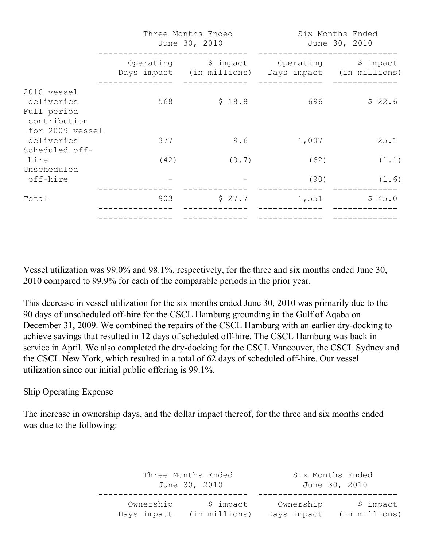|                                                                             |      | Three Months Ended<br>June 30, 2010                                        |              | Six Months Ended<br>June 30, 2010 |
|-----------------------------------------------------------------------------|------|----------------------------------------------------------------------------|--------------|-----------------------------------|
|                                                                             |      | Operating \$ impact<br>Days impact (in millions) Days impact (in millions) | Operating    | \$ impact                         |
| 2010 vessel<br>deliveries<br>Full period<br>contribution<br>for 2009 vessel | 568  | \$18.8                                                                     | 696          | \$22.6                            |
| deliveries<br>Scheduled off-                                                | 377  | 9.6                                                                        | 1,007        | 25.1                              |
| hire<br>Unscheduled<br>off-hire                                             | (42) | (0.7)                                                                      | (62)<br>(90) | (1.1)<br>(1.6)                    |
| Total                                                                       | 903  | \$27.7                                                                     | 1,551        | \$45.0                            |

Vessel utilization was 99.0% and 98.1%, respectively, for the three and six months ended June 30, 2010 compared to 99.9% for each of the comparable periods in the prior year.

This decrease in vessel utilization for the six months ended June 30, 2010 was primarily due to the 90 days of unscheduled off-hire for the CSCL Hamburg grounding in the Gulf of Aqaba on December 31, 2009. We combined the repairs of the CSCL Hamburg with an earlier dry-docking to achieve savings that resulted in 12 days of scheduled off-hire. The CSCL Hamburg was back in service in April. We also completed the dry-docking for the CSCL Vancouver, the CSCL Sydney and the CSCL New York, which resulted in a total of 62 days of scheduled off-hire. Our vessel utilization since our initial public offering is 99.1%.

## Ship Operating Expense

The increase in ownership days, and the dollar impact thereof, for the three and six months ended was due to the following:

> Three Months Ended Six Months Ended June 30, 2010 June 30, 2010 ------------------------------ ---------------------------- Ownership  $\sin \theta$  \$ impact Ownership \$ impact Days impact (in millions) Days impact (in millions)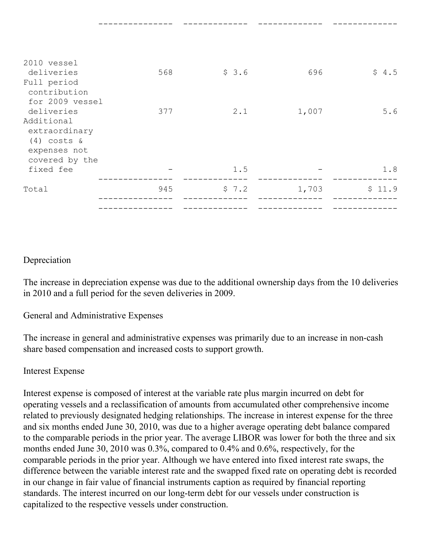| 2010 vessel<br>deliveries<br>Full period<br>contribution                       | 568 | \$3.6 | 696   | \$4.5  |
|--------------------------------------------------------------------------------|-----|-------|-------|--------|
| for 2009 vessel                                                                |     |       |       |        |
| deliveries                                                                     | 377 | 2.1   | 1,007 | 5.6    |
| Additional<br>extraordinary<br>$(4)$ costs &<br>expenses not<br>covered by the |     |       |       |        |
| fixed fee                                                                      |     | 1.5   |       | 1.8    |
| Total                                                                          | 945 | \$7.2 | 1,703 | \$11.9 |
|                                                                                |     |       |       |        |

--------------- ------------- ------------- -------------

### Depreciation

The increase in depreciation expense was due to the additional ownership days from the 10 deliveries in 2010 and a full period for the seven deliveries in 2009.

General and Administrative Expenses

The increase in general and administrative expenses was primarily due to an increase in non-cash share based compensation and increased costs to support growth.

### Interest Expense

Interest expense is composed of interest at the variable rate plus margin incurred on debt for operating vessels and a reclassification of amounts from accumulated other comprehensive income related to previously designated hedging relationships. The increase in interest expense for the three and six months ended June 30, 2010, was due to a higher average operating debt balance compared to the comparable periods in the prior year. The average LIBOR was lower for both the three and six months ended June 30, 2010 was 0.3%, compared to 0.4% and 0.6%, respectively, for the comparable periods in the prior year. Although we have entered into fixed interest rate swaps, the difference between the variable interest rate and the swapped fixed rate on operating debt is recorded in our change in fair value of financial instruments caption as required by financial reporting standards. The interest incurred on our long-term debt for our vessels under construction is capitalized to the respective vessels under construction.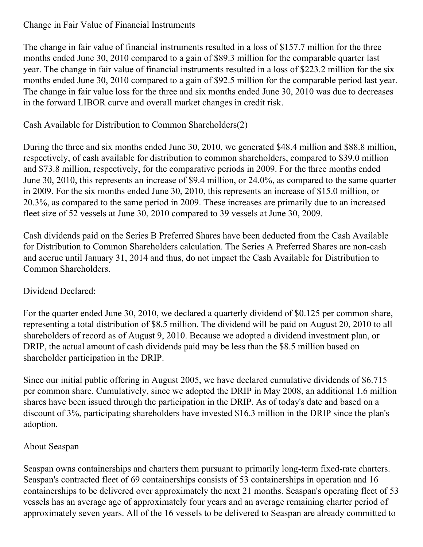Change in Fair Value of Financial Instruments

The change in fair value of financial instruments resulted in a loss of \$157.7 million for the three months ended June 30, 2010 compared to a gain of \$89.3 million for the comparable quarter last year. The change in fair value of financial instruments resulted in a loss of \$223.2 million for the six months ended June 30, 2010 compared to a gain of \$92.5 million for the comparable period last year. The change in fair value loss for the three and six months ended June 30, 2010 was due to decreases in the forward LIBOR curve and overall market changes in credit risk.

## Cash Available for Distribution to Common Shareholders(2)

During the three and six months ended June 30, 2010, we generated \$48.4 million and \$88.8 million, respectively, of cash available for distribution to common shareholders, compared to \$39.0 million and \$73.8 million, respectively, for the comparative periods in 2009. For the three months ended June 30, 2010, this represents an increase of \$9.4 million, or 24.0%, as compared to the same quarter in 2009. For the six months ended June 30, 2010, this represents an increase of \$15.0 million, or 20.3%, as compared to the same period in 2009. These increases are primarily due to an increased fleet size of 52 vessels at June 30, 2010 compared to 39 vessels at June 30, 2009.

Cash dividends paid on the Series B Preferred Shares have been deducted from the Cash Available for Distribution to Common Shareholders calculation. The Series A Preferred Shares are non-cash and accrue until January 31, 2014 and thus, do not impact the Cash Available for Distribution to Common Shareholders.

## Dividend Declared:

For the quarter ended June 30, 2010, we declared a quarterly dividend of \$0.125 per common share, representing a total distribution of \$8.5 million. The dividend will be paid on August 20, 2010 to all shareholders of record as of August 9, 2010. Because we adopted a dividend investment plan, or DRIP, the actual amount of cash dividends paid may be less than the \$8.5 million based on shareholder participation in the DRIP.

Since our initial public offering in August 2005, we have declared cumulative dividends of \$6.715 per common share. Cumulatively, since we adopted the DRIP in May 2008, an additional 1.6 million shares have been issued through the participation in the DRIP. As of today's date and based on a discount of 3%, participating shareholders have invested \$16.3 million in the DRIP since the plan's adoption.

## About Seaspan

Seaspan owns containerships and charters them pursuant to primarily long-term fixed-rate charters. Seaspan's contracted fleet of 69 containerships consists of 53 containerships in operation and 16 containerships to be delivered over approximately the next 21 months. Seaspan's operating fleet of 53 vessels has an average age of approximately four years and an average remaining charter period of approximately seven years. All of the 16 vessels to be delivered to Seaspan are already committed to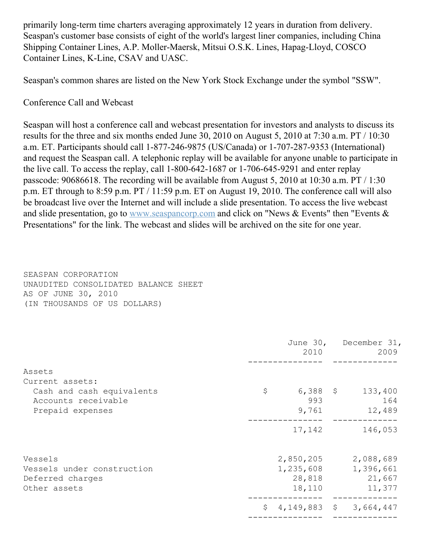primarily long-term time charters averaging approximately 12 years in duration from delivery. Seaspan's customer base consists of eight of the world's largest liner companies, including China Shipping Container Lines, A.P. Moller-Maersk, Mitsui O.S.K. Lines, Hapag-Lloyd, COSCO Container Lines, K-Line, CSAV and UASC.

Seaspan's common shares are listed on the New York Stock Exchange under the symbol "SSW".

Conference Call and Webcast

Seaspan will host a conference call and webcast presentation for investors and analysts to discuss its results for the three and six months ended June 30, 2010 on August 5, 2010 at 7:30 a.m. PT / 10:30 a.m. ET. Participants should call 1-877-246-9875 (US/Canada) or 1-707-287-9353 (International) and request the Seaspan call. A telephonic replay will be available for anyone unable to participate in the live call. To access the replay, call 1-800-642-1687 or 1-706-645-9291 and enter replay passcode: 90686618. The recording will be available from August 5, 2010 at 10:30 a.m. PT / 1:30 p.m. ET through to 8:59 p.m. PT / 11:59 p.m. ET on August 19, 2010. The conference call will also be broadcast live over the Internet and will include a slide presentation. To access the live webcast and slide presentation, go to [www.seaspancorp.com](http://www.seaspancorp.com/) and click on "News & Events" then "Events & Presentations" for the link. The webcast and slides will be archived on the site for one year.

SEASPAN CORPORATION UNAUDITED CONSOLIDATED BALANCE SHEET AS OF JUNE 30, 2010 (IN THOUSANDS OF US DOLLARS)

|                            |           | 2010         | June 30, December 31,<br>2009 |
|----------------------------|-----------|--------------|-------------------------------|
| Assets                     |           |              |                               |
| Current assets:            |           |              |                               |
| Cash and cash equivalents  | \$        | $6,388$ \$   | 133,400                       |
| Accounts receivable        |           | 993          | 164                           |
| Prepaid expenses           |           | 9,761        | 12,489                        |
|                            |           | 17,142       | 146,053                       |
| Vessels                    | 2,850,205 |              | 2,088,689                     |
| Vessels under construction | 1,235,608 |              | 1,396,661                     |
| Deferred charges           |           | 28,818       | 21,667                        |
| Other assets               |           | 18,110       | 11,377                        |
|                            | \$        | 4,149,883 \$ | 3,664,447                     |
|                            |           |              |                               |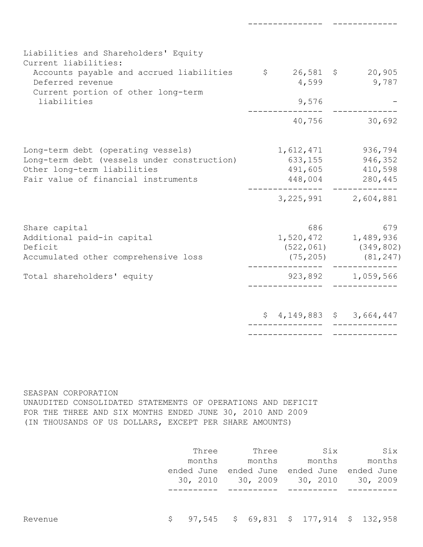| Liabilities and Shareholders' Equity<br>Current liabilities:<br>Accounts payable and accrued liabilities<br>Deferred revenue<br>Current portion of other long-term<br>liabilities | $$26,581$ \$<br>4,599<br>9,576<br>40,756   | 20,905<br>9,787<br>30,692                                                                               |
|-----------------------------------------------------------------------------------------------------------------------------------------------------------------------------------|--------------------------------------------|---------------------------------------------------------------------------------------------------------|
| Long-term debt (operating vessels)<br>Long-term debt (vessels under construction)<br>Other long-term liabilities<br>Fair value of financial instruments                           | 1,612,471<br>633,155<br>491,605<br>448,004 | 936,794<br>946,352<br>410,598<br>280,445<br>3, 225, 991 2, 604, 881                                     |
| Share capital<br>Additional paid-in capital<br>Deficit<br>Accumulated other comprehensive loss<br>Total shareholders' equity                                                      | 686                                        | 679<br>1,520,472 1,489,936<br>$(522, 061)$ $(349, 802)$<br>$(75, 205)$ $(81, 247)$<br>923,892 1,059,566 |
|                                                                                                                                                                                   |                                            | $$4,149,883$$ $$3,664,447$                                                                              |

--------------- -------------

#### SEASPAN CORPORATION

UNAUDITED CONSOLIDATED STATEMENTS OF OPERATIONS AND DEFICIT FOR THE THREE AND SIX MONTHS ENDED JUNE 30, 2010 AND 2009 (IN THOUSANDS OF US DOLLARS, EXCEPT PER SHARE AMOUNTS)

|         | Three      | Three                                                | Six    | Six    |
|---------|------------|------------------------------------------------------|--------|--------|
|         | months     | months                                               | months | months |
|         | ended June | ended June ended June ended June                     |        |        |
|         |            | 30, 2010 30, 2009 30, 2010 30, 2009                  |        |        |
|         |            |                                                      |        |        |
|         |            |                                                      |        |        |
|         |            |                                                      |        |        |
| Revenue |            | $\frac{1}{5}$ 97,545 \$ 69,831 \$ 177,914 \$ 132,958 |        |        |
|         |            |                                                      |        |        |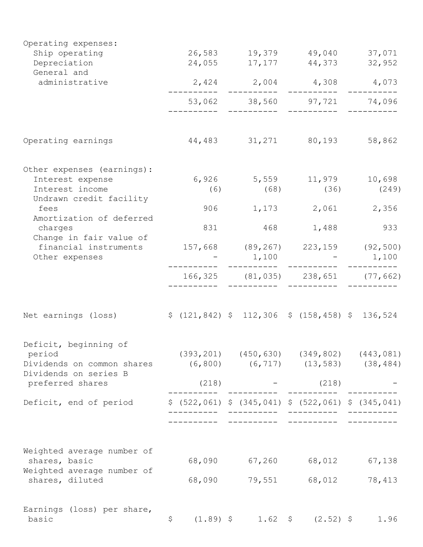| Operating expenses:                                 |                   |        |                                                         |                                                     |
|-----------------------------------------------------|-------------------|--------|---------------------------------------------------------|-----------------------------------------------------|
| Ship operating                                      |                   |        | 26,583 19,379 49,040 37,071                             |                                                     |
| Depreciation<br>General and                         | 24,055            |        | 17, 177 44, 373                                         | 32,952                                              |
| administrative                                      |                   |        | $2,424$ $2,004$ $4,308$ $4,073$                         |                                                     |
|                                                     |                   |        | 53,062 38,560 97,721 74,096                             |                                                     |
|                                                     |                   |        |                                                         |                                                     |
| Operating earnings                                  |                   |        | 44,483 31,271 80,193                                    | 58,862                                              |
| Other expenses (earnings):                          |                   |        |                                                         |                                                     |
| Interest expense                                    |                   |        | 6,926 5,559 11,979 10,698                               |                                                     |
| Interest income<br>Undrawn credit facility          | (6)               | (68)   | (36)                                                    | (249)                                               |
| fees<br>Amortization of deferred                    |                   |        | 906 1,173 2,061 2,356                                   |                                                     |
| charges<br>Change in fair value of                  | 831               |        | 468 1,488                                               | 933                                                 |
| financial instruments                               |                   |        | 157,668 (89,267) 223,159 (92,500)                       |                                                     |
| Other expenses                                      |                   |        | $1,100 - 1,100$                                         |                                                     |
|                                                     |                   |        | 166, 325 (81, 035) 238, 651 (77, 662)                   |                                                     |
|                                                     |                   |        |                                                         |                                                     |
| Net earnings (loss)                                 |                   |        | $$(121, 842) $112, 306 $(158, 458) $136, 524$$          |                                                     |
| Deficit, beginning of                               |                   |        |                                                         |                                                     |
| period                                              |                   |        |                                                         | $(393, 201)$ $(450, 630)$ $(349, 802)$ $(443, 081)$ |
| Dividends on common shares<br>Dividends on series B |                   |        | $(6, 800)$ $(6, 717)$ $(13, 583)$ $(38, 484)$           |                                                     |
| preferred shares                                    | (218)             |        | (218)                                                   |                                                     |
| Deficit, end of period                              |                   |        | $$$ (522,061) $$$ (345,041) $$$ (522,061) $$$ (345,041) |                                                     |
|                                                     |                   |        |                                                         |                                                     |
| Weighted average number of                          |                   |        |                                                         |                                                     |
| shares, basic                                       | 68,090            | 67,260 | 68,012                                                  | 67,138                                              |
| Weighted average number of<br>shares, diluted       | 68,090            | 79,551 | 68,012                                                  | 78,413                                              |
| Earnings (loss) per share,                          |                   |        |                                                         |                                                     |
| basic                                               | \$<br>$(1.89)$ \$ |        | 1.62 \$ (2.52) \$                                       | 1.96                                                |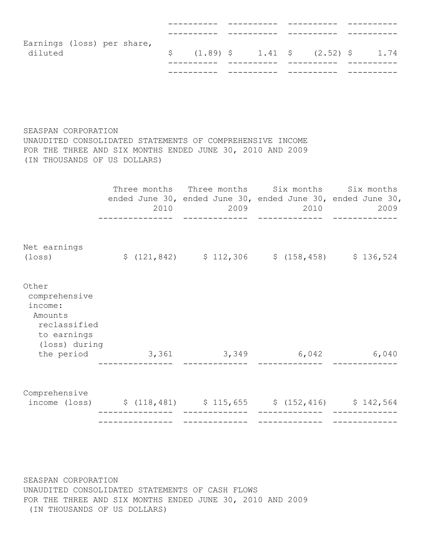| Earnings (loss) per share, |  |  |  |  |                                                                                 |  |
|----------------------------|--|--|--|--|---------------------------------------------------------------------------------|--|
| diluted                    |  |  |  |  | $\frac{1}{2}$ (1.89) $\frac{1}{2}$ 1.41 $\frac{1}{2}$ (2.52) $\frac{1}{2}$ 1.74 |  |
|                            |  |  |  |  |                                                                                 |  |
|                            |  |  |  |  |                                                                                 |  |

SEASPAN CORPORATION UNAUDITED CONSOLIDATED STATEMENTS OF COMPREHENSIVE INCOME FOR THE THREE AND SIX MONTHS ENDED JUNE 30, 2010 AND 2009 (IN THOUSANDS OF US DOLLARS)

|                                                                                                                              |                                    | 2010 | Three months Three months Six months Six months<br>ended June 30, ended June 30, ended June 30, ended June 30,<br>2009 2010 2009<br>______________ |  |
|------------------------------------------------------------------------------------------------------------------------------|------------------------------------|------|----------------------------------------------------------------------------------------------------------------------------------------------------|--|
| Net earnings<br>(loss)                                                                                                       |                                    |      | $$(121, 842)$ $$112, 306$ $$(158, 458)$ $$136, 524$                                                                                                |  |
| Other<br>comprehensive<br>income:<br>Amounts<br>reclassified<br>to earnings<br>(loss) during                                 | the period 3,361 3,349 6,042 6,040 |      |                                                                                                                                                    |  |
| Comprehensive<br>income (loss) $\frac{10}{5}$ (118,481) $\frac{115}{55}$ $\frac{15}{55}$ $\frac{152}{416}$ $\frac{152}{564}$ |                                    |      |                                                                                                                                                    |  |
|                                                                                                                              |                                    |      |                                                                                                                                                    |  |

SEASPAN CORPORATION UNAUDITED CONSOLIDATED STATEMENTS OF CASH FLOWS FOR THE THREE AND SIX MONTHS ENDED JUNE 30, 2010 AND 2009 (IN THOUSANDS OF US DOLLARS)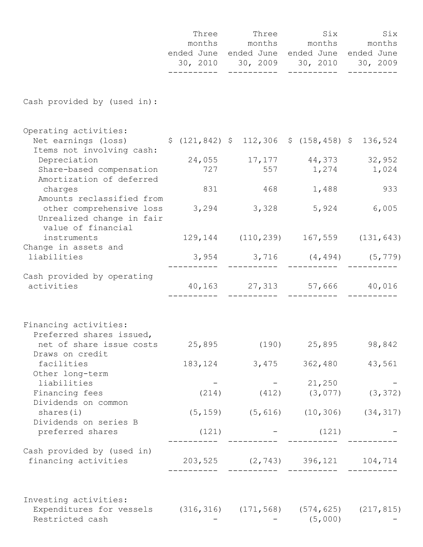|                                                                                                                           | —————————— | Three Three Six<br>months months months months<br>ended June ended June ended June ended June<br>30, 2010 30, 2009 30, 2010 30, 2009<br>----------- | ——————————                          | Six<br>-----------    |
|---------------------------------------------------------------------------------------------------------------------------|------------|-----------------------------------------------------------------------------------------------------------------------------------------------------|-------------------------------------|-----------------------|
| Cash provided by (used in):                                                                                               |            |                                                                                                                                                     |                                     |                       |
| Operating activities:<br>Net earnings (loss) \$ (121,842) \$ 112,306 \$ (158,458) \$ 136,524<br>Items not involving cash: |            |                                                                                                                                                     |                                     |                       |
| Depreciation<br>Share-based compensation<br>Amortization of deferred                                                      |            | 24,055 17,177 44,373 32,952<br>727 557 1,274 1,024                                                                                                  |                                     |                       |
| charges                                                                                                                   | 831        | 468                                                                                                                                                 | 1,488                               | 933                   |
| Amounts reclassified from<br>other comprehensive loss<br>Unrealized change in fair<br>value of financial                  |            | 3, 294 3, 328 5, 924                                                                                                                                |                                     | 6,005                 |
| instruments<br>Change in assets and                                                                                       |            | 129, 144 (110, 239) 167, 559 (131, 643)                                                                                                             |                                     |                       |
| liabilities                                                                                                               |            |                                                                                                                                                     | $3,954$ $3,716$ $(4,494)$ $(5,779)$ |                       |
| Cash provided by operating<br>activities                                                                                  |            | 40,163 27,313 57,666 40,016                                                                                                                         |                                     |                       |
| Financing activities:<br>Preferred shares issued,                                                                         |            |                                                                                                                                                     |                                     |                       |
| net of share issue costs<br>Draws on credit                                                                               | 25,895     |                                                                                                                                                     | $(190)$ 25,895                      | 98,842                |
| facilities<br>Other long-term                                                                                             |            | 183, 124 3, 475 362, 480                                                                                                                            |                                     | 43,561                |
| liabilities                                                                                                               |            |                                                                                                                                                     | 21,250                              |                       |
| Financing fees<br>Dividends on common                                                                                     | (214)      | (412)                                                                                                                                               |                                     | $(3, 077)$ $(3, 372)$ |
| shares $(i)$<br>Dividends on series B                                                                                     |            | $(5, 159)$ $(5, 616)$ $(10, 306)$ $(34, 317)$                                                                                                       |                                     |                       |
| preferred shares                                                                                                          | (121)      |                                                                                                                                                     | (121)                               |                       |
| Cash provided by (used in)<br>financing activities                                                                        |            | 203,525 (2,743) 396,121 104,714                                                                                                                     |                                     |                       |
| Investing activities:<br>Expenditures for vessels (316,316) (171,568) (574,625) (217,815)<br>Restricted cash              |            |                                                                                                                                                     | (5,000)                             |                       |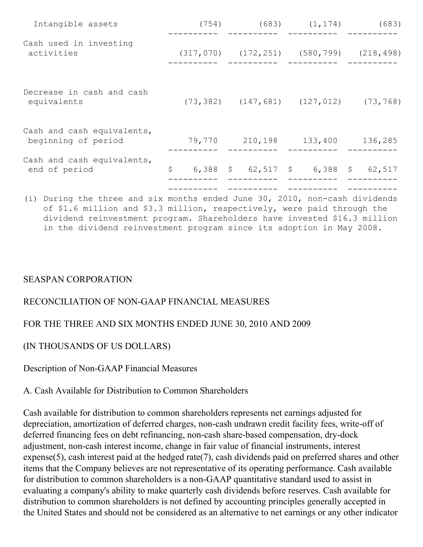|         |                 | (683)                                                                                                                                                  |
|---------|-----------------|--------------------------------------------------------------------------------------------------------------------------------------------------------|
|         |                 |                                                                                                                                                        |
|         |                 | (73, 768)                                                                                                                                              |
| 210,198 | 133,400         | 136,285                                                                                                                                                |
| \$      |                 | 62,517                                                                                                                                                 |
|         | (754)<br>79,770 | $(683)$ $(1, 174)$<br>$(317, 070)$ $(172, 251)$ $(580, 799)$ $(218, 498)$<br>$(73, 382)$ $(147, 681)$ $(127, 012)$<br>6,388 \$ 62,517 \$<br>$6,388$ \$ |

(i) During the three and six months ended June 30, 2010, non-cash dividends of \$1.6 million and \$3.3 million, respectively, were paid through the dividend reinvestment program. Shareholders have invested \$16.3 million in the dividend reinvestment program since its adoption in May 2008.

### SEASPAN CORPORATION

## RECONCILIATION OF NON-GAAP FINANCIAL MEASURES

## FOR THE THREE AND SIX MONTHS ENDED JUNE 30, 2010 AND 2009

### (IN THOUSANDS OF US DOLLARS)

Description of Non-GAAP Financial Measures

### A. Cash Available for Distribution to Common Shareholders

Cash available for distribution to common shareholders represents net earnings adjusted for depreciation, amortization of deferred charges, non-cash undrawn credit facility fees, write-off of deferred financing fees on debt refinancing, non-cash share-based compensation, dry-dock adjustment, non-cash interest income, change in fair value of financial instruments, interest expense(5), cash interest paid at the hedged rate(7), cash dividends paid on preferred shares and other items that the Company believes are not representative of its operating performance. Cash available for distribution to common shareholders is a non-GAAP quantitative standard used to assist in evaluating a company's ability to make quarterly cash dividends before reserves. Cash available for distribution to common shareholders is not defined by accounting principles generally accepted in the United States and should not be considered as an alternative to net earnings or any other indicator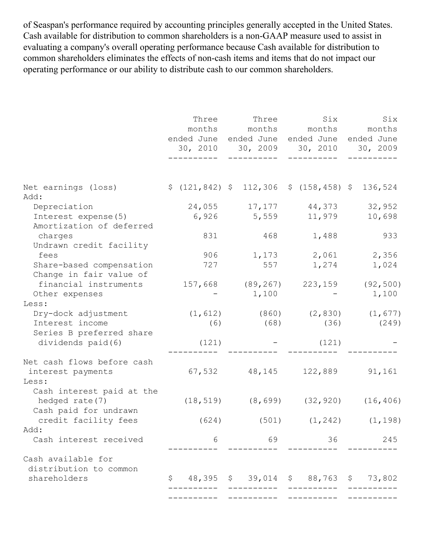of Seaspan's performance required by accounting principles generally accepted in the United States. Cash available for distribution to common shareholders is a non-GAAP measure used to assist in evaluating a company's overall operating performance because Cash available for distribution to common shareholders eliminates the effects of non-cash items and items that do not impact our operating performance or our ability to distribute cash to our common shareholders.

|                                                         | Three | ended June ended June | Three Six Six<br>months months months months<br>ended June ended June<br>30, 2010 30, 2009 30, 2010 30, 2009 |                |
|---------------------------------------------------------|-------|-----------------------|--------------------------------------------------------------------------------------------------------------|----------------|
|                                                         |       |                       |                                                                                                              |                |
| Net earnings (loss)<br>Add:                             |       |                       | $$(121, 842) $112, 306 $(158, 458) $136, 524$$                                                               |                |
| Depreciation                                            |       |                       | 24,055 17,177 44,373                                                                                         | 32,952         |
| Interest expense (5)                                    |       |                       | 6,926 5,559 11,979                                                                                           | 10,698         |
| Amortization of deferred                                |       |                       |                                                                                                              |                |
| charges                                                 | 831   | 468                   | 1,488                                                                                                        | 933            |
| Undrawn credit facility                                 |       |                       |                                                                                                              |                |
| fees                                                    | 906   |                       | 1,173 2,061 2,356                                                                                            |                |
| Share-based compensation                                | 727   | 557                   | 1,274                                                                                                        | 1,024          |
| Change in fair value of                                 |       |                       |                                                                                                              |                |
| financial instruments 157,668 (89,267) 223,159 (92,500) |       |                       |                                                                                                              |                |
| Other expenses                                          |       | 1,100                 |                                                                                                              | 1,100          |
| Less:                                                   |       |                       |                                                                                                              |                |
| Dry-dock adjustment                                     |       |                       | $(1, 612)$ $(860)$ $(2, 830)$ $(1, 677)$                                                                     |                |
| Interest income                                         | (6)   | (68)                  |                                                                                                              | $(36)$ $(249)$ |
| Series B preferred share                                |       |                       |                                                                                                              |                |
| dividends paid (6)                                      | (121) |                       | $-$ (121)                                                                                                    |                |
|                                                         |       |                       |                                                                                                              |                |
| Net cash flows before cash                              |       |                       |                                                                                                              |                |
| interest payments                                       |       |                       | $67,532$ $48,145$ $122,889$ $91,161$                                                                         |                |
| Less:                                                   |       |                       |                                                                                                              |                |
| Cash interest paid at the                               |       |                       |                                                                                                              |                |
| hedged rate (7)<br>Cash paid for undrawn                |       |                       | $(18, 519)$ $(8, 699)$ $(32, 920)$ $(16, 406)$                                                               |                |
| credit facility fees                                    | (624) |                       | $(501)$ $(1, 242)$ $(1, 198)$                                                                                |                |
| Add:                                                    |       |                       |                                                                                                              |                |
| Cash interest received                                  | 6     | 69                    | 36                                                                                                           | 245            |
|                                                         |       |                       |                                                                                                              |                |
| Cash available for                                      |       |                       |                                                                                                              |                |
| distribution to common                                  |       |                       |                                                                                                              |                |
| shareholders                                            | S.    |                       | 48,395 \$ 39,014 \$ 88,763                                                                                   | \$73,802       |
|                                                         |       |                       |                                                                                                              |                |
|                                                         |       |                       |                                                                                                              |                |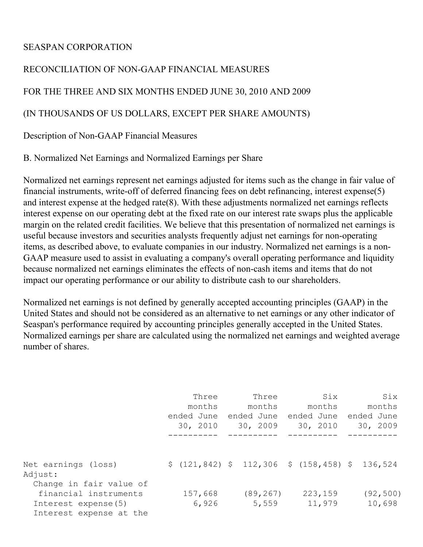### SEASPAN CORPORATION

## RECONCILIATION OF NON-GAAP FINANCIAL MEASURES

FOR THE THREE AND SIX MONTHS ENDED JUNE 30, 2010 AND 2009

(IN THOUSANDS OF US DOLLARS, EXCEPT PER SHARE AMOUNTS)

Description of Non-GAAP Financial Measures

B. Normalized Net Earnings and Normalized Earnings per Share

Normalized net earnings represent net earnings adjusted for items such as the change in fair value of financial instruments, write-off of deferred financing fees on debt refinancing, interest expense(5) and interest expense at the hedged rate(8). With these adjustments normalized net earnings reflects interest expense on our operating debt at the fixed rate on our interest rate swaps plus the applicable margin on the related credit facilities. We believe that this presentation of normalized net earnings is useful because investors and securities analysts frequently adjust net earnings for non-operating items, as described above, to evaluate companies in our industry. Normalized net earnings is a non-GAAP measure used to assist in evaluating a company's overall operating performance and liquidity because normalized net earnings eliminates the effects of non-cash items and items that do not impact our operating performance or our ability to distribute cash to our shareholders.

Normalized net earnings is not defined by generally accepted accounting principles (GAAP) in the United States and should not be considered as an alternative to net earnings or any other indicator of Seaspan's performance required by accounting principles generally accepted in the United States. Normalized earnings per share are calculated using the normalized net earnings and weighted average number of shares.

|                                                                         | Three<br>months<br>ended June<br>30, 2010 | Three<br>months<br>ended June<br>30, 2009 | Six<br>months<br>ended June<br>30, 2010 | Six<br>months<br>ended June<br>30, 2009 |
|-------------------------------------------------------------------------|-------------------------------------------|-------------------------------------------|-----------------------------------------|-----------------------------------------|
|                                                                         |                                           |                                           |                                         |                                         |
| Net earnings (loss)<br>Adjust:<br>Change in fair value of               |                                           | \$(121, 842) \$112, 306 \$(158, 458) \$   |                                         | 136,524                                 |
| financial instruments<br>Interest expense(5)<br>Interest expense at the | 157,668<br>6,926                          | (89, 267)<br>5,559                        | 223,159<br>11,979                       | (92, 500)<br>10,698                     |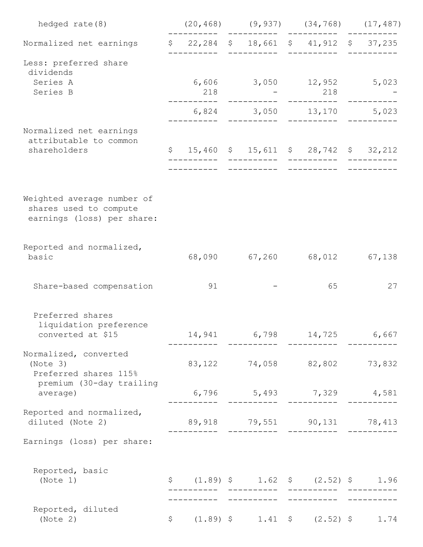| hedged rate (8)                                                                    |                                                                                                |                                                                                     | $(20, 468)$ $(9, 937)$ $(34, 768)$ $(17, 487)$              |    |
|------------------------------------------------------------------------------------|------------------------------------------------------------------------------------------------|-------------------------------------------------------------------------------------|-------------------------------------------------------------|----|
| Normalized net earnings                                                            | \$ 22,284 \$ 18,661 \$ 41,912 \$ 37,235                                                        |                                                                                     |                                                             |    |
| Less: preferred share<br>dividends<br>Series A                                     |                                                                                                |                                                                                     | __________<br>$6,606$ $3,050$ $12,952$ $5,023$              |    |
| Series B                                                                           | 218                                                                                            | $\mathcal{L}^{\text{max}}_{\text{max}}$ and $\mathcal{L}^{\text{max}}_{\text{max}}$ | 218                                                         |    |
|                                                                                    |                                                                                                |                                                                                     | 6,824 3,050 13,170 5,023                                    |    |
| Normalized net earnings<br>attributable to common                                  |                                                                                                |                                                                                     |                                                             |    |
| shareholders                                                                       | $$15,460$ $$15,611$ $$28,742$ $$32,212$                                                        |                                                                                     |                                                             |    |
|                                                                                    |                                                                                                |                                                                                     |                                                             |    |
| Weighted average number of<br>shares used to compute<br>earnings (loss) per share: |                                                                                                |                                                                                     |                                                             |    |
| Reported and normalized,<br>basic                                                  |                                                                                                |                                                                                     | 68,090 67,260 68,012 67,138                                 |    |
| Share-based compensation                                                           | 91                                                                                             |                                                                                     | 65                                                          | 27 |
| Preferred shares<br>liquidation preference                                         |                                                                                                |                                                                                     |                                                             |    |
| converted at \$15                                                                  |                                                                                                |                                                                                     | 14,941 6,798 14,725 6,667<br><u> -----------     ------</u> |    |
| Normalized, converted<br>(Note 3)<br>Preferred shares 115%                         |                                                                                                |                                                                                     | 83, 122 74, 058 82, 802 73, 832                             |    |
| premium (30-day trailing<br>average)                                               |                                                                                                |                                                                                     | 6,796 5,493 7,329 4,581                                     |    |
| Reported and normalized,<br>diluted (Note 2)                                       | 89,918 79,551 90,131 78,413                                                                    |                                                                                     |                                                             |    |
| Earnings (loss) per share:                                                         |                                                                                                |                                                                                     |                                                             |    |
| Reported, basic<br>(Note 1)                                                        | $$(1.89)$ \$ $1.62$ \$ $(2.52)$ \$ $1.96$<br>_______________________                           |                                                                                     |                                                             |    |
| Reported, diluted<br>(Note 2)                                                      | $\begin{array}{ccccccccc}\n\xi & (1.89) & \xi & 1.41 & \xi & (2.52) & \xi & 1.74\n\end{array}$ |                                                                                     |                                                             |    |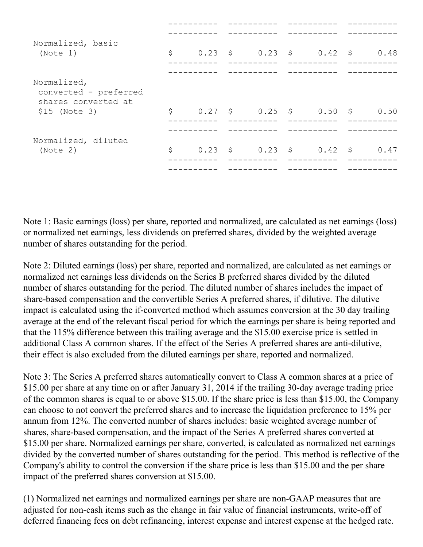| Normalized, basic<br>(Note 1)                               | \$ | $0.23$ \$ $0.23$ \$ $0.42$ \$ $0.48$ |  |      |
|-------------------------------------------------------------|----|--------------------------------------|--|------|
| Normalized,<br>converted - preferred<br>shares converted at |    |                                      |  |      |
| \$15 (Note 3)                                               | \$ | $0.27$ \$ $0.25$ \$ $0.50$ \$ $0.50$ |  |      |
|                                                             |    |                                      |  |      |
| Normalized, diluted<br>(Note 2)                             | \$ | $0.23$ \$ $0.23$ \$ $0.42$ \$        |  | 0.47 |
|                                                             |    |                                      |  |      |

Note 1: Basic earnings (loss) per share, reported and normalized, are calculated as net earnings (loss) or normalized net earnings, less dividends on preferred shares, divided by the weighted average number of shares outstanding for the period.

Note 2: Diluted earnings (loss) per share, reported and normalized, are calculated as net earnings or normalized net earnings less dividends on the Series B preferred shares divided by the diluted number of shares outstanding for the period. The diluted number of shares includes the impact of share-based compensation and the convertible Series A preferred shares, if dilutive. The dilutive impact is calculated using the if-converted method which assumes conversion at the 30 day trailing average at the end of the relevant fiscal period for which the earnings per share is being reported and that the 115% difference between this trailing average and the \$15.00 exercise price is settled in additional Class A common shares. If the effect of the Series A preferred shares are anti-dilutive, their effect is also excluded from the diluted earnings per share, reported and normalized.

Note 3: The Series A preferred shares automatically convert to Class A common shares at a price of \$15.00 per share at any time on or after January 31, 2014 if the trailing 30-day average trading price of the common shares is equal to or above \$15.00. If the share price is less than \$15.00, the Company can choose to not convert the preferred shares and to increase the liquidation preference to 15% per annum from 12%. The converted number of shares includes: basic weighted average number of shares, share-based compensation, and the impact of the Series A preferred shares converted at \$15.00 per share. Normalized earnings per share, converted, is calculated as normalized net earnings divided by the converted number of shares outstanding for the period. This method is reflective of the Company's ability to control the conversion if the share price is less than \$15.00 and the per share impact of the preferred shares conversion at \$15.00.

(1) Normalized net earnings and normalized earnings per share are non-GAAP measures that are adjusted for non-cash items such as the change in fair value of financial instruments, write-off of deferred financing fees on debt refinancing, interest expense and interest expense at the hedged rate.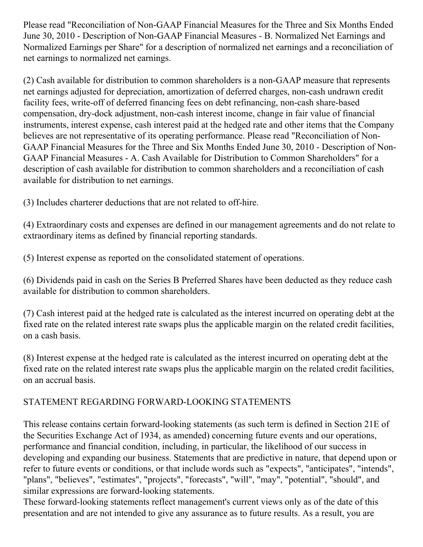Please read "Reconciliation of Non-GAAP Financial Measures for the Three and Six Months Ended June 30, 2010 - Description of Non-GAAP Financial Measures - B. Normalized Net Earnings and Normalized Earnings per Share" for a description of normalized net earnings and a reconciliation of net earnings to normalized net earnings.

(2) Cash available for distribution to common shareholders is a non-GAAP measure that represents net earnings adjusted for depreciation, amortization of deferred charges, non-cash undrawn credit facility fees, write-off of deferred financing fees on debt refinancing, non-cash share-based compensation, dry-dock adjustment, non-cash interest income, change in fair value of financial instruments, interest expense, cash interest paid at the hedged rate and other items that the Company believes are not representative of its operating performance. Please read "Reconciliation of Non-GAAP Financial Measures for the Three and Six Months Ended June 30, 2010 - Description of Non-GAAP Financial Measures - A. Cash Available for Distribution to Common Shareholders" for a description of cash available for distribution to common shareholders and a reconciliation of cash available for distribution to net earnings.

(3) Includes charterer deductions that are not related to off-hire.

(4) Extraordinary costs and expenses are defined in our management agreements and do not relate to extraordinary items as defined by financial reporting standards.

(5) Interest expense as reported on the consolidated statement of operations.

(6) Dividends paid in cash on the Series B Preferred Shares have been deducted as they reduce cash available for distribution to common shareholders.

(7) Cash interest paid at the hedged rate is calculated as the interest incurred on operating debt at the fixed rate on the related interest rate swaps plus the applicable margin on the related credit facilities, on a cash basis.

(8) Interest expense at the hedged rate is calculated as the interest incurred on operating debt at the fixed rate on the related interest rate swaps plus the applicable margin on the related credit facilities, on an accrual basis.

# STATEMENT REGARDING FORWARD-LOOKING STATEMENTS

This release contains certain forward-looking statements (as such term is defined in Section 21E of the Securities Exchange Act of 1934, as amended) concerning future events and our operations, performance and financial condition, including, in particular, the likelihood of our success in developing and expanding our business. Statements that are predictive in nature, that depend upon or refer to future events or conditions, or that include words such as "expects", "anticipates", "intends", "plans", "believes", "estimates", "projects", "forecasts", "will", "may", "potential", "should", and similar expressions are forward-looking statements.

These forward-looking statements reflect management's current views only as of the date of this presentation and are not intended to give any assurance as to future results. As a result, you are